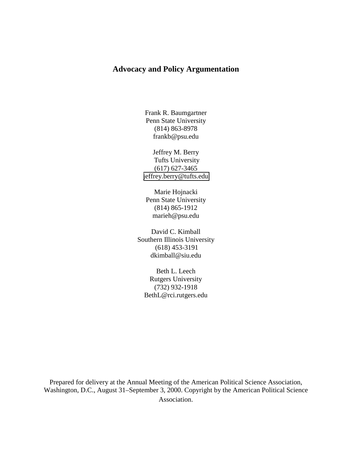# **Advocacy and Policy Argumentation**

Frank R. Baumgartner Penn State University (814) 863-8978 frankb@psu.edu

Jeffrey M. Berry Tufts University (617) 627-3465 [jeffrey.berry@tufts.edu](mailto:jeffrey.berry@tufts.edu) 

Marie Hojnacki Penn State University (814) 865-1912 marieh@psu.edu

David C. Kimball Southern Illinois University (618) 453-3191 dkimball@siu.edu

Beth L. Leech Rutgers University (732) 932-1918 BethL@rci.rutgers.edu

Prepared for delivery at the Annual Meeting of the American Political Science Association, Washington, D.C., August 31–September 3, 2000. Copyright by the American Political Science Association.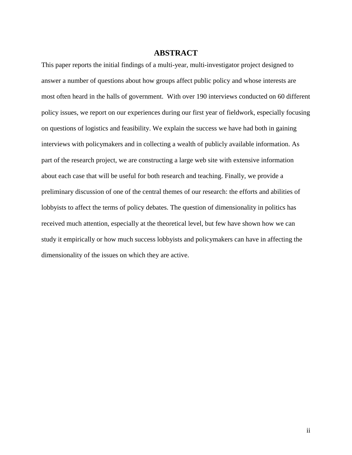# **ABSTRACT**

This paper reports the initial findings of a multi-year, multi-investigator project designed to answer a number of questions about how groups affect public policy and whose interests are most often heard in the halls of government. With over 190 interviews conducted on 60 different policy issues, we report on our experiences during our first year of fieldwork, especially focusing on questions of logistics and feasibility. We explain the success we have had both in gaining interviews with policymakers and in collecting a wealth of publicly available information. As part of the research project, we are constructing a large web site with extensive information about each case that will be useful for both research and teaching. Finally, we provide a preliminary discussion of one of the central themes of our research: the efforts and abilities of lobbyists to affect the terms of policy debates. The question of dimensionality in politics has received much attention, especially at the theoretical level, but few have shown how we can study it empirically or how much success lobbyists and policymakers can have in affecting the dimensionality of the issues on which they are active.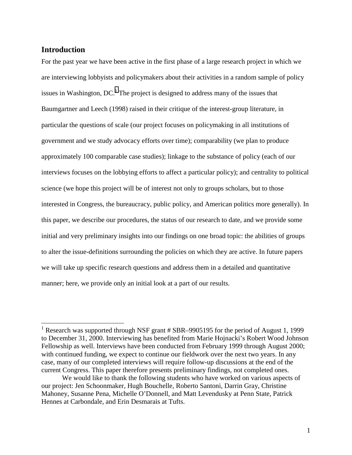## **Introduction**

 $\overline{a}$ 

For the past year we have been active in the first phase of a large research project in which we are interviewing lobbyists and policymakers about their activities in a random sample of policy issues in Washington, DC.<sup>1</sup> The project is designed to address many of the issues that Baumgartner and Leech (1998) raised in their critique of the interest-group literature, in particular the questions of scale (our project focuses on policymaking in all institutions of government and we study advocacy efforts over time); comparability (we plan to produce approximately 100 comparable case studies); linkage to the substance of policy (each of our interviews focuses on the lobbying efforts to affect a particular policy); and centrality to political science (we hope this project will be of interest not only to groups scholars, but to those interested in Congress, the bureaucracy, public policy, and American politics more generally). In this paper, we describe our procedures, the status of our research to date, and we provide some initial and very preliminary insights into our findings on one broad topic: the abilities of groups to alter the issue-definitions surrounding the policies on which they are active. In future papers we will take up specific research questions and address them in a detailed and quantitative manner; here, we provide only an initial look at a part of our results.

<sup>&</sup>lt;sup>1</sup> Research was supported through NSF grant # SBR–9905195 for the period of August 1, 1999 to December 31, 2000. Interviewing has benefited from Marie Hojnacki's Robert Wood Johnson Fellowship as well. Interviews have been conducted from February 1999 through August 2000; with continued funding, we expect to continue our fieldwork over the next two years. In any case, many of our completed interviews will require follow-up discussions at the end of the current Congress. This paper therefore presents preliminary findings, not completed ones.

We would like to thank the following students who have worked on various aspects of our project: Jen Schoonmaker, Hugh Bouchelle, Roberto Santoni, Darrin Gray, Christine Mahoney, Susanne Pena, Michelle O'Donnell, and Matt Levendusky at Penn State, Patrick Hennes at Carbondale, and Erin Desmarais at Tufts.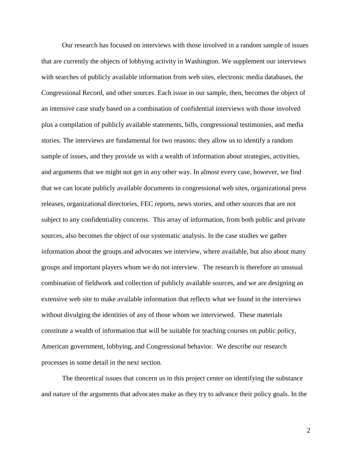Our research has focused on interviews with those involved in a random sample of issues that are currently the objects of lobbying activity in Washington. We supplement our interviews with searches of publicly available information from web sites, electronic media databases, the Congressional Record, and other sources. Each issue in our sample, then, becomes the object of an intensive case study based on a combination of confidential interviews with those involved plus a compilation of publicly available statements, bills, congressional testimonies, and media stories. The interviews are fundamental for two reasons: they allow us to identify a random sample of issues, and they provide us with a wealth of information about strategies, activities, and arguments that we might not get in any other way. In almost every case, however, we find that we can locate publicly available documents in congressional web sites, organizational press releases, organizational directories, FEC reports, news stories, and other sources that are not subject to any confidentiality concerns. This array of information, from both public and private sources, also becomes the object of our systematic analysis. In the case studies we gather information about the groups and advocates we interview, where available, but also about many groups and important players whom we do not interview. The research is therefore an unusual combination of fieldwork and collection of publicly available sources, and we are designing an extensive web site to make available information that reflects what we found in the interviews without divulging the identities of any of those whom we interviewed. These materials constitute a wealth of information that will be suitable for teaching courses on public policy, American government, lobbying, and Congressional behavior. We describe our research processes in some detail in the next section.

The theoretical issues that concern us in this project center on identifying the substance and nature of the arguments that advocates make as they try to advance their policy goals. In the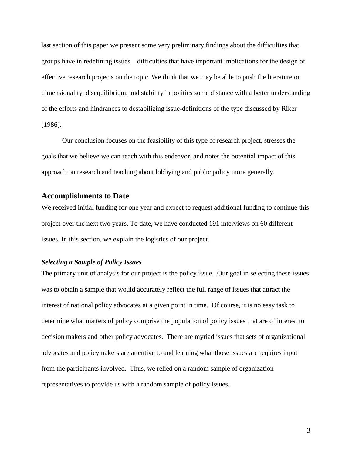last section of this paper we present some very preliminary findings about the difficulties that groups have in redefining issues—difficulties that have important implications for the design of effective research projects on the topic. We think that we may be able to push the literature on dimensionality, disequilibrium, and stability in politics some distance with a better understanding of the efforts and hindrances to destabilizing issue-definitions of the type discussed by Riker (1986).

Our conclusion focuses on the feasibility of this type of research project, stresses the goals that we believe we can reach with this endeavor, and notes the potential impact of this approach on research and teaching about lobbying and public policy more generally.

#### **Accomplishments to Date**

We received initial funding for one year and expect to request additional funding to continue this project over the next two years. To date, we have conducted 191 interviews on 60 different issues. In this section, we explain the logistics of our project.

#### *Selecting a Sample of Policy Issues*

The primary unit of analysis for our project is the policy issue. Our goal in selecting these issues was to obtain a sample that would accurately reflect the full range of issues that attract the interest of national policy advocates at a given point in time. Of course, it is no easy task to determine what matters of policy comprise the population of policy issues that are of interest to decision makers and other policy advocates. There are myriad issues that sets of organizational advocates and policymakers are attentive to and learning what those issues are requires input from the participants involved. Thus, we relied on a random sample of organization representatives to provide us with a random sample of policy issues.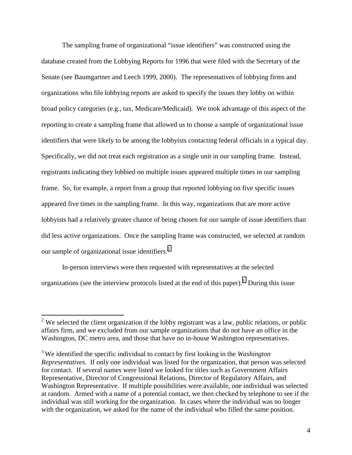The sampling frame of organizational "issue identifiers" was constructed using the database created from the Lobbying Reports for 1996 that were filed with the Secretary of the Senate (see Baumgartner and Leech 1999, 2000). The representatives of lobbying firms and organizations who file lobbying reports are asked to specify the issues they lobby on within broad policy categories (e.g., tax, Medicare/Medicaid). We took advantage of this aspect of the reporting to create a sampling frame that allowed us to choose a sample of organizational issue identifiers that were likely to be among the lobbyists contacting federal officials in a typical day. Specifically, we did not treat each registration as a single unit in our sampling frame. Instead, registrants indicating they lobbied on multiple issues appeared multiple times in our sampling frame. So, for example, a report from a group that reported lobbying on five specific issues appeared five times in the sampling frame. In this way, organizations that are more active lobbyists had a relatively greater chance of being chosen for our sample of issue identifiers than did less active organizations. Once the sampling frame was constructed, we selected at random our sample of organizational issue identifiers. $<sup>2</sup>$ </sup>

In-person interviews were then requested with representatives at the selected organizations (see the interview protocols listed at the end of this paper).<sup>3</sup> During this issue

 $\overline{a}$ 

<sup>&</sup>lt;sup>2</sup> We selected the client organization if the lobby registrant was a law, public relations, or public affairs firm, and we excluded from our sample organizations that do not have an office in the Washington, DC metro area, and those that have no in-house Washington representatives.

<sup>3</sup> We identified the specific individual to contact by first looking in the *Washington Representatives*. If only one individual was listed for the organization, that person was selected for contact. If several names were listed we looked for titles such as Government Affairs Representative, Director of Congressional Relations, Director of Regulatory Affairs, and Washington Representative. If multiple possibilities were available, one individual was selected at random. Armed with a name of a potential contact, we then checked by telephone to see if the individual was still working for the organization. In cases where the individual was no longer with the organization, we asked for the name of the individual who filled the same position.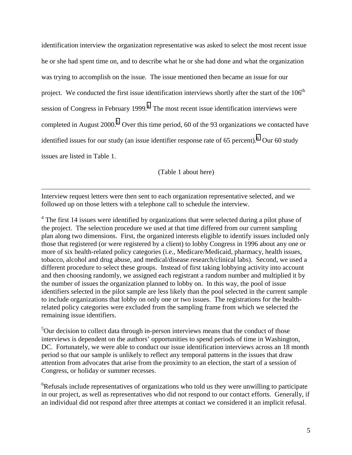identification interview the organization representative was asked to select the most recent issue he or she had spent time on, and to describe what he or she had done and what the organization was trying to accomplish on the issue. The issue mentioned then became an issue for our project. We conducted the first issue identification interviews shortly after the start of the  $106<sup>th</sup>$ session of Congress in February 1999.<sup>4</sup> The most recent issue identification interviews were completed in August 2000.<sup>5</sup> Over this time period, 60 of the 93 organizations we contacted have identified issues for our study (an issue identifier response rate of 65 percent). <sup>6</sup> Our 60 study issues are listed in Table 1.

(Table 1 about here)

Interview request letters were then sent to each organization representative selected, and we followed up on those letters with a telephone call to schedule the interview.

 $\overline{a}$ 

 $4$  The first 14 issues were identified by organizations that were selected during a pilot phase of the project. The selection procedure we used at that time differed from our current sampling plan along two dimensions. First, the organized interests eligible to identify issues included only those that registered (or were registered by a client) to lobby Congress in 1996 about any one or more of six health-related policy categories (i.e., Medicare/Medicaid, pharmacy, health issues, tobacco, alcohol and drug abuse, and medical/disease research/clinical labs). Second, we used a different procedure to select these groups. Instead of first taking lobbying activity into account and then choosing randomly, we assigned each registrant a random number and multiplied it by the number of issues the organization planned to lobby on. In this way, the pool of issue identifiers selected in the pilot sample are less likely than the pool selected in the current sample to include organizations that lobby on only one or two issues. The registrations for the healthrelated policy categories were excluded from the sampling frame from which we selected the remaining issue identifiers.

<sup>5</sup>Our decision to collect data through in-person interviews means that the conduct of those interviews is dependent on the authors' opportunities to spend periods of time in Washington, DC. Fortunately, we were able to conduct our issue identification interviews across an 18 month period so that our sample is unlikely to reflect any temporal patterns in the issues that draw attention from advocates that arise from the proximity to an election, the start of a session of Congress, or holiday or summer recesses.

<sup>6</sup>Refusals include representatives of organizations who told us they were unwilling to participate in our project, as well as representatives who did not respond to our contact efforts. Generally, if an individual did not respond after three attempts at contact we considered it an implicit refusal.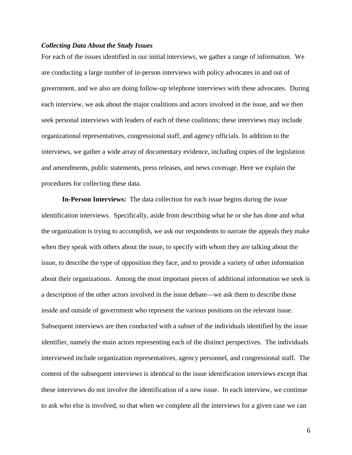#### *Collecting Data About the Study Issues*

For each of the issues identified in our initial interviews, we gather a range of information. We are conducting a large number of in-person interviews with policy advocates in and out of government, and we also are doing follow-up telephone interviews with these advocates. During each interview, we ask about the major coalitions and actors involved in the issue, and we then seek personal interviews with leaders of each of these coalitions; these interviews may include organizational representatives, congressional staff, and agency officials. In addition to the interviews, we gather a wide array of documentary evidence, including copies of the legislation and amendments, public statements, press releases, and news coverage. Here we explain the procedures for collecting these data.

**In-Person Interviews:** The data collection for each issue begins during the issue identification interviews. Specifically, aside from describing what he or she has done and what the organization is trying to accomplish, we ask our respondents to narrate the appeals they make when they speak with others about the issue, to specify with whom they are talking about the issue, to describe the type of opposition they face, and to provide a variety of other information about their organizations. Among the most important pieces of additional information we seek is a description of the other actors involved in the issue debate—we ask them to describe those inside and outside of government who represent the various positions on the relevant issue. Subsequent interviews are then conducted with a subset of the individuals identified by the issue identifier, namely the main actors representing each of the distinct perspectives. The individuals interviewed include organization representatives, agency personnel, and congressional staff. The content of the subsequent interviews is identical to the issue identification interviews except that these interviews do not involve the identification of a new issue. In each interview, we continue to ask who else is involved, so that when we complete all the interviews for a given case we can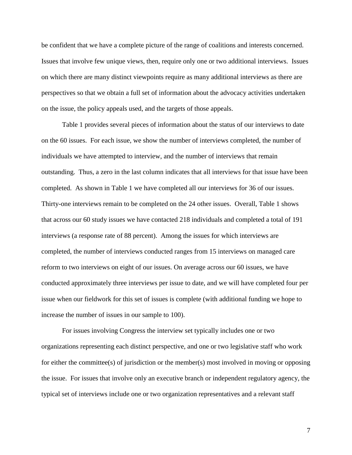be confident that we have a complete picture of the range of coalitions and interests concerned. Issues that involve few unique views, then, require only one or two additional interviews. Issues on which there are many distinct viewpoints require as many additional interviews as there are perspectives so that we obtain a full set of information about the advocacy activities undertaken on the issue, the policy appeals used, and the targets of those appeals.

Table 1 provides several pieces of information about the status of our interviews to date on the 60 issues. For each issue, we show the number of interviews completed, the number of individuals we have attempted to interview, and the number of interviews that remain outstanding. Thus, a zero in the last column indicates that all interviews for that issue have been completed. As shown in Table 1 we have completed all our interviews for 36 of our issues. Thirty-one interviews remain to be completed on the 24 other issues. Overall, Table 1 shows that across our 60 study issues we have contacted 218 individuals and completed a total of 191 interviews (a response rate of 88 percent). Among the issues for which interviews are completed, the number of interviews conducted ranges from 15 interviews on managed care reform to two interviews on eight of our issues. On average across our 60 issues, we have conducted approximately three interviews per issue to date, and we will have completed four per issue when our fieldwork for this set of issues is complete (with additional funding we hope to increase the number of issues in our sample to 100).

For issues involving Congress the interview set typically includes one or two organizations representing each distinct perspective, and one or two legislative staff who work for either the committee(s) of jurisdiction or the member(s) most involved in moving or opposing the issue. For issues that involve only an executive branch or independent regulatory agency, the typical set of interviews include one or two organization representatives and a relevant staff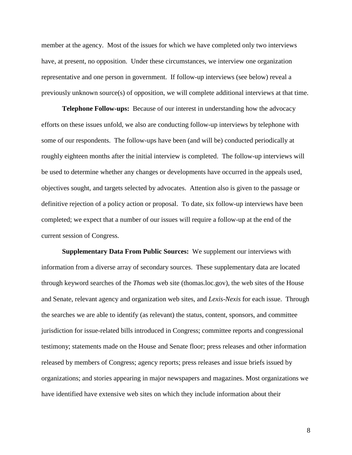member at the agency. Most of the issues for which we have completed only two interviews have, at present, no opposition. Under these circumstances, we interview one organization representative and one person in government. If follow-up interviews (see below) reveal a previously unknown source(s) of opposition, we will complete additional interviews at that time.

**Telephone Follow-ups:** Because of our interest in understanding how the advocacy efforts on these issues unfold, we also are conducting follow-up interviews by telephone with some of our respondents. The follow-ups have been (and will be) conducted periodically at roughly eighteen months after the initial interview is completed. The follow-up interviews will be used to determine whether any changes or developments have occurred in the appeals used, objectives sought, and targets selected by advocates. Attention also is given to the passage or definitive rejection of a policy action or proposal. To date, six follow-up interviews have been completed; we expect that a number of our issues will require a follow-up at the end of the current session of Congress.

**Supplementary Data From Public Sources:** We supplement our interviews with information from a diverse array of secondary sources. These supplementary data are located through keyword searches of the *Thomas* web site (thomas.loc.gov), the web sites of the House and Senate, relevant agency and organization web sites, and *Lexis-Nexis* for each issue. Through the searches we are able to identify (as relevant) the status, content, sponsors, and committee jurisdiction for issue-related bills introduced in Congress; committee reports and congressional testimony; statements made on the House and Senate floor; press releases and other information released by members of Congress; agency reports; press releases and issue briefs issued by organizations; and stories appearing in major newspapers and magazines. Most organizations we have identified have extensive web sites on which they include information about their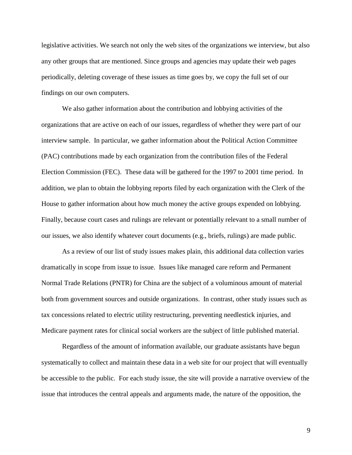legislative activities. We search not only the web sites of the organizations we interview, but also any other groups that are mentioned. Since groups and agencies may update their web pages periodically, deleting coverage of these issues as time goes by, we copy the full set of our findings on our own computers.

We also gather information about the contribution and lobbying activities of the organizations that are active on each of our issues, regardless of whether they were part of our interview sample. In particular, we gather information about the Political Action Committee (PAC) contributions made by each organization from the contribution files of the Federal Election Commission (FEC). These data will be gathered for the 1997 to 2001 time period. In addition, we plan to obtain the lobbying reports filed by each organization with the Clerk of the House to gather information about how much money the active groups expended on lobbying. Finally, because court cases and rulings are relevant or potentially relevant to a small number of our issues, we also identify whatever court documents (e.g., briefs, rulings) are made public.

As a review of our list of study issues makes plain, this additional data collection varies dramatically in scope from issue to issue. Issues like managed care reform and Permanent Normal Trade Relations (PNTR) for China are the subject of a voluminous amount of material both from government sources and outside organizations. In contrast, other study issues such as tax concessions related to electric utility restructuring, preventing needlestick injuries, and Medicare payment rates for clinical social workers are the subject of little published material.

Regardless of the amount of information available, our graduate assistants have begun systematically to collect and maintain these data in a web site for our project that will eventually be accessible to the public. For each study issue, the site will provide a narrative overview of the issue that introduces the central appeals and arguments made, the nature of the opposition, the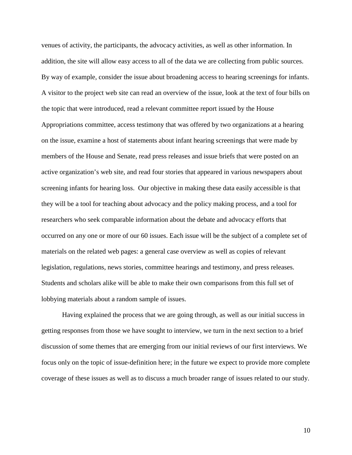venues of activity, the participants, the advocacy activities, as well as other information. In addition, the site will allow easy access to all of the data we are collecting from public sources. By way of example, consider the issue about broadening access to hearing screenings for infants. A visitor to the project web site can read an overview of the issue, look at the text of four bills on the topic that were introduced, read a relevant committee report issued by the House Appropriations committee, access testimony that was offered by two organizations at a hearing on the issue, examine a host of statements about infant hearing screenings that were made by members of the House and Senate, read press releases and issue briefs that were posted on an active organization's web site, and read four stories that appeared in various newspapers about screening infants for hearing loss. Our objective in making these data easily accessible is that they will be a tool for teaching about advocacy and the policy making process, and a tool for researchers who seek comparable information about the debate and advocacy efforts that occurred on any one or more of our 60 issues. Each issue will be the subject of a complete set of materials on the related web pages: a general case overview as well as copies of relevant legislation, regulations, news stories, committee hearings and testimony, and press releases. Students and scholars alike will be able to make their own comparisons from this full set of lobbying materials about a random sample of issues.

Having explained the process that we are going through, as well as our initial success in getting responses from those we have sought to interview, we turn in the next section to a brief discussion of some themes that are emerging from our initial reviews of our first interviews. We focus only on the topic of issue-definition here; in the future we expect to provide more complete coverage of these issues as well as to discuss a much broader range of issues related to our study.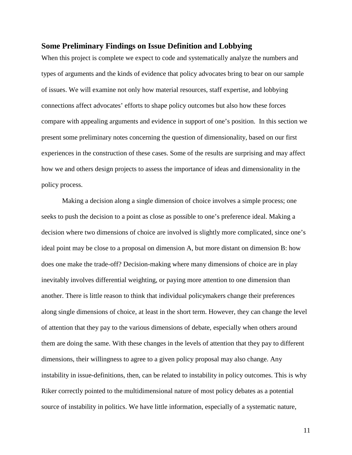#### **Some Preliminary Findings on Issue Definition and Lobbying**

When this project is complete we expect to code and systematically analyze the numbers and types of arguments and the kinds of evidence that policy advocates bring to bear on our sample of issues. We will examine not only how material resources, staff expertise, and lobbying connections affect advocates' efforts to shape policy outcomes but also how these forces compare with appealing arguments and evidence in support of one's position. In this section we present some preliminary notes concerning the question of dimensionality, based on our first experiences in the construction of these cases. Some of the results are surprising and may affect how we and others design projects to assess the importance of ideas and dimensionality in the policy process.

Making a decision along a single dimension of choice involves a simple process; one seeks to push the decision to a point as close as possible to one's preference ideal. Making a decision where two dimensions of choice are involved is slightly more complicated, since one's ideal point may be close to a proposal on dimension A, but more distant on dimension B: how does one make the trade-off? Decision-making where many dimensions of choice are in play inevitably involves differential weighting, or paying more attention to one dimension than another. There is little reason to think that individual policymakers change their preferences along single dimensions of choice, at least in the short term. However, they can change the level of attention that they pay to the various dimensions of debate, especially when others around them are doing the same. With these changes in the levels of attention that they pay to different dimensions, their willingness to agree to a given policy proposal may also change. Any instability in issue-definitions, then, can be related to instability in policy outcomes. This is why Riker correctly pointed to the multidimensional nature of most policy debates as a potential source of instability in politics. We have little information, especially of a systematic nature,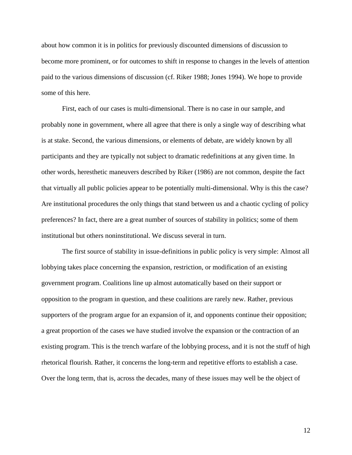about how common it is in politics for previously discounted dimensions of discussion to become more prominent, or for outcomes to shift in response to changes in the levels of attention paid to the various dimensions of discussion (cf. Riker 1988; Jones 1994). We hope to provide some of this here.

First, each of our cases is multi-dimensional. There is no case in our sample, and probably none in government, where all agree that there is only a single way of describing what is at stake. Second, the various dimensions, or elements of debate, are widely known by all participants and they are typically not subject to dramatic redefinitions at any given time. In other words, heresthetic maneuvers described by Riker (1986) are not common, despite the fact that virtually all public policies appear to be potentially multi-dimensional. Why is this the case? Are institutional procedures the only things that stand between us and a chaotic cycling of policy preferences? In fact, there are a great number of sources of stability in politics; some of them institutional but others noninstitutional. We discuss several in turn.

The first source of stability in issue-definitions in public policy is very simple: Almost all lobbying takes place concerning the expansion, restriction, or modification of an existing government program. Coalitions line up almost automatically based on their support or opposition to the program in question, and these coalitions are rarely new. Rather, previous supporters of the program argue for an expansion of it, and opponents continue their opposition; a great proportion of the cases we have studied involve the expansion or the contraction of an existing program. This is the trench warfare of the lobbying process, and it is not the stuff of high rhetorical flourish. Rather, it concerns the long-term and repetitive efforts to establish a case. Over the long term, that is, across the decades, many of these issues may well be the object of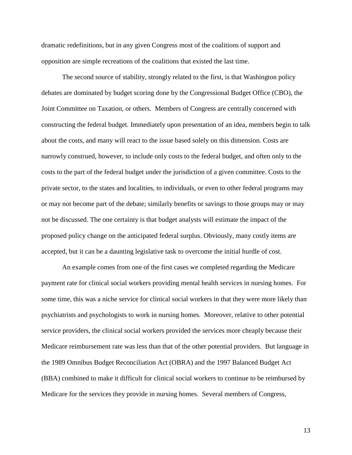dramatic redefinitions, but in any given Congress most of the coalitions of support and opposition are simple recreations of the coalitions that existed the last time.

The second source of stability, strongly related to the first, is that Washington policy debates are dominated by budget scoring done by the Congressional Budget Office (CBO), the Joint Committee on Taxation, or others. Members of Congress are centrally concerned with constructing the federal budget. Immediately upon presentation of an idea, members begin to talk about the costs, and many will react to the issue based solely on this dimension. Costs are narrowly construed, however, to include only costs to the federal budget, and often only to the costs to the part of the federal budget under the jurisdiction of a given committee. Costs to the private sector, to the states and localities, to individuals, or even to other federal programs may or may not become part of the debate; similarly benefits or savings to those groups may or may not be discussed. The one certainty is that budget analysts will estimate the impact of the proposed policy change on the anticipated federal surplus. Obviously, many costly items are accepted, but it can be a daunting legislative task to overcome the initial hurdle of cost.

An example comes from one of the first cases we completed regarding the Medicare payment rate for clinical social workers providing mental health services in nursing homes. For some time, this was a niche service for clinical social workers in that they were more likely than psychiatrists and psychologists to work in nursing homes. Moreover, relative to other potential service providers, the clinical social workers provided the services more cheaply because their Medicare reimbursement rate was less than that of the other potential providers. But language in the 1989 Omnibus Budget Reconciliation Act (OBRA) and the 1997 Balanced Budget Act (BBA) combined to make it difficult for clinical social workers to continue to be reimbursed by Medicare for the services they provide in nursing homes. Several members of Congress,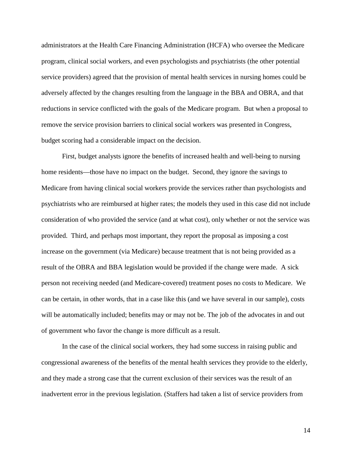administrators at the Health Care Financing Administration (HCFA) who oversee the Medicare program, clinical social workers, and even psychologists and psychiatrists (the other potential service providers) agreed that the provision of mental health services in nursing homes could be adversely affected by the changes resulting from the language in the BBA and OBRA, and that reductions in service conflicted with the goals of the Medicare program. But when a proposal to remove the service provision barriers to clinical social workers was presented in Congress, budget scoring had a considerable impact on the decision.

First, budget analysts ignore the benefits of increased health and well-being to nursing home residents—those have no impact on the budget. Second, they ignore the savings to Medicare from having clinical social workers provide the services rather than psychologists and psychiatrists who are reimbursed at higher rates; the models they used in this case did not include consideration of who provided the service (and at what cost), only whether or not the service was provided. Third, and perhaps most important, they report the proposal as imposing a cost increase on the government (via Medicare) because treatment that is not being provided as a result of the OBRA and BBA legislation would be provided if the change were made. A sick person not receiving needed (and Medicare-covered) treatment poses no costs to Medicare. We can be certain, in other words, that in a case like this (and we have several in our sample), costs will be automatically included; benefits may or may not be. The job of the advocates in and out of government who favor the change is more difficult as a result.

In the case of the clinical social workers, they had some success in raising public and congressional awareness of the benefits of the mental health services they provide to the elderly, and they made a strong case that the current exclusion of their services was the result of an inadvertent error in the previous legislation. (Staffers had taken a list of service providers from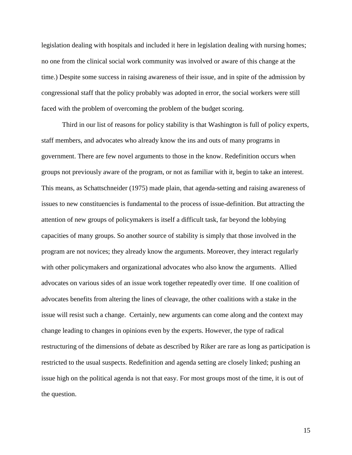legislation dealing with hospitals and included it here in legislation dealing with nursing homes; no one from the clinical social work community was involved or aware of this change at the time.) Despite some success in raising awareness of their issue, and in spite of the admission by congressional staff that the policy probably was adopted in error, the social workers were still faced with the problem of overcoming the problem of the budget scoring.

Third in our list of reasons for policy stability is that Washington is full of policy experts, staff members, and advocates who already know the ins and outs of many programs in government. There are few novel arguments to those in the know. Redefinition occurs when groups not previously aware of the program, or not as familiar with it, begin to take an interest. This means, as Schattschneider (1975) made plain, that agenda-setting and raising awareness of issues to new constituencies is fundamental to the process of issue-definition. But attracting the attention of new groups of policymakers is itself a difficult task, far beyond the lobbying capacities of many groups. So another source of stability is simply that those involved in the program are not novices; they already know the arguments. Moreover, they interact regularly with other policymakers and organizational advocates who also know the arguments. Allied advocates on various sides of an issue work together repeatedly over time. If one coalition of advocates benefits from altering the lines of cleavage, the other coalitions with a stake in the issue will resist such a change. Certainly, new arguments can come along and the context may change leading to changes in opinions even by the experts. However, the type of radical restructuring of the dimensions of debate as described by Riker are rare as long as participation is restricted to the usual suspects. Redefinition and agenda setting are closely linked; pushing an issue high on the political agenda is not that easy. For most groups most of the time, it is out of the question.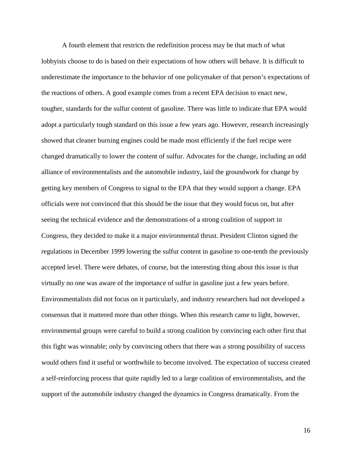A fourth element that restricts the redefinition process may be that much of what lobbyists choose to do is based on their expectations of how others will behave. It is difficult to underestimate the importance to the behavior of one policymaker of that person's expectations of the reactions of others. A good example comes from a recent EPA decision to enact new, tougher, standards for the sulfur content of gasoline. There was little to indicate that EPA would adopt a particularly tough standard on this issue a few years ago. However, research increasingly showed that cleaner burning engines could be made most efficiently if the fuel recipe were changed dramatically to lower the content of sulfur. Advocates for the change, including an odd alliance of environmentalists and the automobile industry, laid the groundwork for change by getting key members of Congress to signal to the EPA that they would support a change. EPA officials were not convinced that this should be the issue that they would focus on, but after seeing the technical evidence and the demonstrations of a strong coalition of support in Congress, they decided to make it a major environmental thrust. President Clinton signed the regulations in December 1999 lowering the sulfur content in gasoline to one-tenth the previously accepted level. There were debates, of course, but the interesting thing about this issue is that virtually no one was aware of the importance of sulfur in gasoline just a few years before. Environmentalists did not focus on it particularly, and industry researchers had not developed a consensus that it mattered more than other things. When this research came to light, however, environmental groups were careful to build a strong coalition by convincing each other first that this fight was winnable; only by convincing others that there was a strong possibility of success would others find it useful or worthwhile to become involved. The expectation of success created a self-reinforcing process that quite rapidly led to a large coalition of environmentalists, and the support of the automobile industry changed the dynamics in Congress dramatically. From the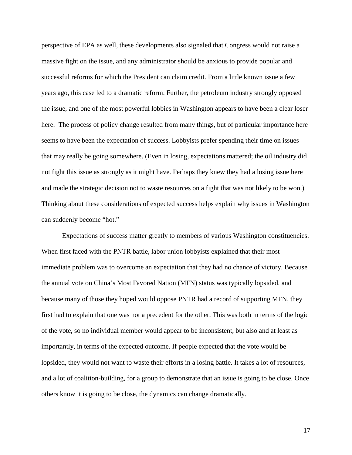perspective of EPA as well, these developments also signaled that Congress would not raise a massive fight on the issue, and any administrator should be anxious to provide popular and successful reforms for which the President can claim credit. From a little known issue a few years ago, this case led to a dramatic reform. Further, the petroleum industry strongly opposed the issue, and one of the most powerful lobbies in Washington appears to have been a clear loser here. The process of policy change resulted from many things, but of particular importance here seems to have been the expectation of success. Lobbyists prefer spending their time on issues that may really be going somewhere. (Even in losing, expectations mattered; the oil industry did not fight this issue as strongly as it might have. Perhaps they knew they had a losing issue here and made the strategic decision not to waste resources on a fight that was not likely to be won.) Thinking about these considerations of expected success helps explain why issues in Washington can suddenly become "hot."

Expectations of success matter greatly to members of various Washington constituencies. When first faced with the PNTR battle, labor union lobbyists explained that their most immediate problem was to overcome an expectation that they had no chance of victory. Because the annual vote on China's Most Favored Nation (MFN) status was typically lopsided, and because many of those they hoped would oppose PNTR had a record of supporting MFN, they first had to explain that one was not a precedent for the other. This was both in terms of the logic of the vote, so no individual member would appear to be inconsistent, but also and at least as importantly, in terms of the expected outcome. If people expected that the vote would be lopsided, they would not want to waste their efforts in a losing battle. It takes a lot of resources, and a lot of coalition-building, for a group to demonstrate that an issue is going to be close. Once others know it is going to be close, the dynamics can change dramatically.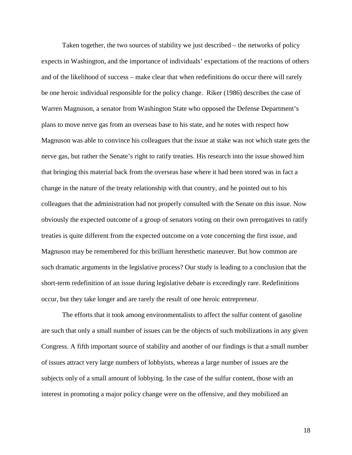Taken together, the two sources of stability we just described – the networks of policy expects in Washington, and the importance of individuals' expectations of the reactions of others and of the likelihood of success – make clear that when redefinitions do occur there will rarely be one heroic individual responsible for the policy change. Riker (1986) describes the case of Warren Magnuson, a senator from Washington State who opposed the Defense Department's plans to move nerve gas from an overseas base to his state, and he notes with respect how Magnuson was able to convince his colleagues that the issue at stake was not which state gets the nerve gas, but rather the Senate's right to ratify treaties. His research into the issue showed him that bringing this material back from the overseas base where it had been stored was in fact a change in the nature of the treaty relationship with that country, and he pointed out to his colleagues that the administration had not properly consulted with the Senate on this issue. Now obviously the expected outcome of a group of senators voting on their own prerogatives to ratify treaties is quite different from the expected outcome on a vote concerning the first issue, and Magnuson may be remembered for this brilliant heresthetic maneuver. But how common are such dramatic arguments in the legislative process? Our study is leading to a conclusion that the short-term redefinition of an issue during legislative debate is exceedingly rare. Redefinitions occur, but they take longer and are rarely the result of one heroic entrepreneur.

The efforts that it took among environmentalists to affect the sulfur content of gasoline are such that only a small number of issues can be the objects of such mobilizations in any given Congress. A fifth important source of stability and another of our findings is that a small number of issues attract very large numbers of lobbyists, whereas a large number of issues are the subjects only of a small amount of lobbying. In the case of the sulfur content, those with an interest in promoting a major policy change were on the offensive, and they mobilized an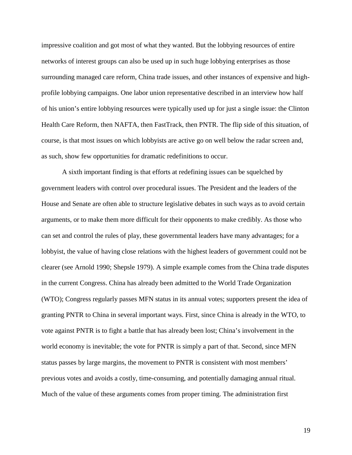impressive coalition and got most of what they wanted. But the lobbying resources of entire networks of interest groups can also be used up in such huge lobbying enterprises as those surrounding managed care reform, China trade issues, and other instances of expensive and highprofile lobbying campaigns. One labor union representative described in an interview how half of his union's entire lobbying resources were typically used up for just a single issue: the Clinton Health Care Reform, then NAFTA, then FastTrack, then PNTR. The flip side of this situation, of course, is that most issues on which lobbyists are active go on well below the radar screen and, as such, show few opportunities for dramatic redefinitions to occur.

A sixth important finding is that efforts at redefining issues can be squelched by government leaders with control over procedural issues. The President and the leaders of the House and Senate are often able to structure legislative debates in such ways as to avoid certain arguments, or to make them more difficult for their opponents to make credibly. As those who can set and control the rules of play, these governmental leaders have many advantages; for a lobbyist, the value of having close relations with the highest leaders of government could not be clearer (see Arnold 1990; Shepsle 1979). A simple example comes from the China trade disputes in the current Congress. China has already been admitted to the World Trade Organization (WTO); Congress regularly passes MFN status in its annual votes; supporters present the idea of granting PNTR to China in several important ways. First, since China is already in the WTO, to vote against PNTR is to fight a battle that has already been lost; China's involvement in the world economy is inevitable; the vote for PNTR is simply a part of that. Second, since MFN status passes by large margins, the movement to PNTR is consistent with most members' previous votes and avoids a costly, time-consuming, and potentially damaging annual ritual. Much of the value of these arguments comes from proper timing. The administration first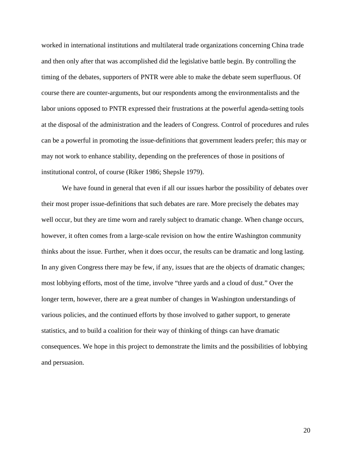worked in international institutions and multilateral trade organizations concerning China trade and then only after that was accomplished did the legislative battle begin. By controlling the timing of the debates, supporters of PNTR were able to make the debate seem superfluous. Of course there are counter-arguments, but our respondents among the environmentalists and the labor unions opposed to PNTR expressed their frustrations at the powerful agenda-setting tools at the disposal of the administration and the leaders of Congress. Control of procedures and rules can be a powerful in promoting the issue-definitions that government leaders prefer; this may or may not work to enhance stability, depending on the preferences of those in positions of institutional control, of course (Riker 1986; Shepsle 1979).

We have found in general that even if all our issues harbor the possibility of debates over their most proper issue-definitions that such debates are rare. More precisely the debates may well occur, but they are time worn and rarely subject to dramatic change. When change occurs, however, it often comes from a large-scale revision on how the entire Washington community thinks about the issue. Further, when it does occur, the results can be dramatic and long lasting. In any given Congress there may be few, if any, issues that are the objects of dramatic changes; most lobbying efforts, most of the time, involve "three yards and a cloud of dust." Over the longer term, however, there are a great number of changes in Washington understandings of various policies, and the continued efforts by those involved to gather support, to generate statistics, and to build a coalition for their way of thinking of things can have dramatic consequences. We hope in this project to demonstrate the limits and the possibilities of lobbying and persuasion.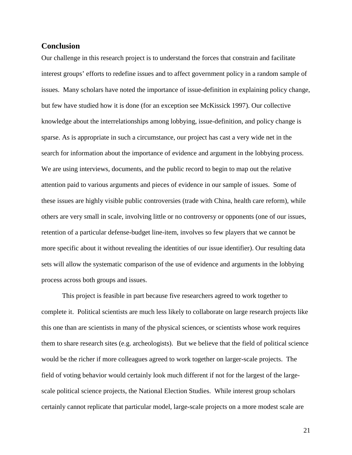#### **Conclusion**

Our challenge in this research project is to understand the forces that constrain and facilitate interest groups' efforts to redefine issues and to affect government policy in a random sample of issues. Many scholars have noted the importance of issue-definition in explaining policy change, but few have studied how it is done (for an exception see McKissick 1997). Our collective knowledge about the interrelationships among lobbying, issue-definition, and policy change is sparse. As is appropriate in such a circumstance, our project has cast a very wide net in the search for information about the importance of evidence and argument in the lobbying process. We are using interviews, documents, and the public record to begin to map out the relative attention paid to various arguments and pieces of evidence in our sample of issues. Some of these issues are highly visible public controversies (trade with China, health care reform), while others are very small in scale, involving little or no controversy or opponents (one of our issues, retention of a particular defense-budget line-item, involves so few players that we cannot be more specific about it without revealing the identities of our issue identifier). Our resulting data sets will allow the systematic comparison of the use of evidence and arguments in the lobbying process across both groups and issues.

This project is feasible in part because five researchers agreed to work together to complete it. Political scientists are much less likely to collaborate on large research projects like this one than are scientists in many of the physical sciences, or scientists whose work requires them to share research sites (e.g. archeologists). But we believe that the field of political science would be the richer if more colleagues agreed to work together on larger-scale projects. The field of voting behavior would certainly look much different if not for the largest of the largescale political science projects, the National Election Studies. While interest group scholars certainly cannot replicate that particular model, large-scale projects on a more modest scale are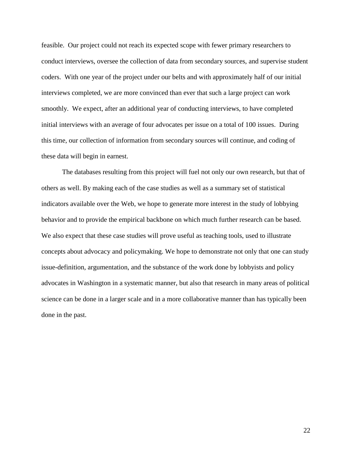feasible. Our project could not reach its expected scope with fewer primary researchers to conduct interviews, oversee the collection of data from secondary sources, and supervise student coders. With one year of the project under our belts and with approximately half of our initial interviews completed, we are more convinced than ever that such a large project can work smoothly. We expect, after an additional year of conducting interviews, to have completed initial interviews with an average of four advocates per issue on a total of 100 issues. During this time, our collection of information from secondary sources will continue, and coding of these data will begin in earnest.

The databases resulting from this project will fuel not only our own research, but that of others as well. By making each of the case studies as well as a summary set of statistical indicators available over the Web, we hope to generate more interest in the study of lobbying behavior and to provide the empirical backbone on which much further research can be based. We also expect that these case studies will prove useful as teaching tools, used to illustrate concepts about advocacy and policymaking. We hope to demonstrate not only that one can study issue-definition, argumentation, and the substance of the work done by lobbyists and policy advocates in Washington in a systematic manner, but also that research in many areas of political science can be done in a larger scale and in a more collaborative manner than has typically been done in the past.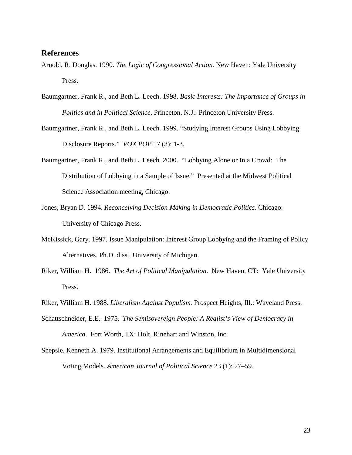### **References**

- Arnold, R. Douglas. 1990. *The Logic of Congressional Action.* New Haven: Yale University Press.
- Baumgartner, Frank R., and Beth L. Leech. 1998. *Basic Interests: The Importance of Groups in Politics and in Political Science*. Princeton, N.J.: Princeton University Press.
- Baumgartner, Frank R., and Beth L. Leech. 1999. "Studying Interest Groups Using Lobbying Disclosure Reports." *VOX POP* 17 (3): 1-3.
- Baumgartner, Frank R., and Beth L. Leech. 2000. "Lobbying Alone or In a Crowd: The Distribution of Lobbying in a Sample of Issue." Presented at the Midwest Political Science Association meeting, Chicago.
- Jones, Bryan D. 1994. *Reconceiving Decision Making in Democratic Politics.* Chicago: University of Chicago Press.
- McKissick, Gary. 1997. Issue Manipulation: Interest Group Lobbying and the Framing of Policy Alternatives. Ph.D. diss., University of Michigan.
- Riker, William H. 1986. *The Art of Political Manipulation*. New Haven, CT: Yale University Press.
- Riker, William H. 1988. *Liberalism Against Populism.* Prospect Heights, Ill.: Waveland Press.
- Schattschneider, E.E. 1975. *The Semisovereign People: A Realist's View of Democracy in America*. Fort Worth, TX: Holt, Rinehart and Winston, Inc.
- Shepsle, Kenneth A. 1979. Institutional Arrangements and Equilibrium in Multidimensional Voting Models. *American Journal of Political Science* 23 (1): 27–59.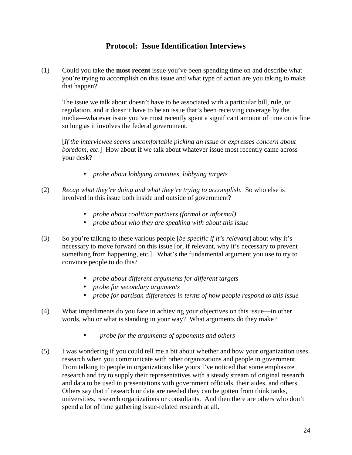# **Protocol: Issue Identification Interviews**

(1) Could you take the **most recent** issue you've been spending time on and describe what you're trying to accomplish on this issue and what type of action are you taking to make that happen?

The issue we talk about doesn't have to be associated with a particular bill, rule, or regulation, and it doesn't have to be an issue that's been receiving coverage by the media—whatever issue you've most recently spent a significant amount of time on is fine so long as it involves the federal government.

[*If the interviewee seems uncomfortable picking an issue or expresses concern about boredom, etc*.] How about if we talk about whatever issue most recently came across your desk?

- *probe about lobbying activities, lobbying targets*
- (2) *Recap what they're doing and what they're trying to accomplish*. So who else is involved in this issue both inside and outside of government?
	- *probe about coalition partners (formal or informal)*
	- *probe about who they are speaking with about this issue*
- (3) So you're talking to these various people [*be specific if it's relevant*] about why it's necessary to move forward on this issue [or, if relevant, why it's necessary to prevent something from happening, etc.]. What's the fundamental argument you use to try to convince people to do this?
	- *probe about different arguments for different targets*
	- *probe for secondary arguments*
	- *probe for partisan differences in terms of how people respond to this issue*
- (4) What impediments do you face in achieving your objectives on this issue—in other words, who or what is standing in your way? What arguments do they make?
	- *probe for the arguments of opponents and others*
- (5) I was wondering if you could tell me a bit about whether and how your organization uses research when you communicate with other organizations and people in government. From talking to people in organizations like yours I've noticed that some emphasize research and try to supply their representatives with a steady stream of original research and data to be used in presentations with government officials, their aides, and others. Others say that if research or data are needed they can be gotten from think tanks, universities, research organizations or consultants. And then there are others who don't spend a lot of time gathering issue-related research at all.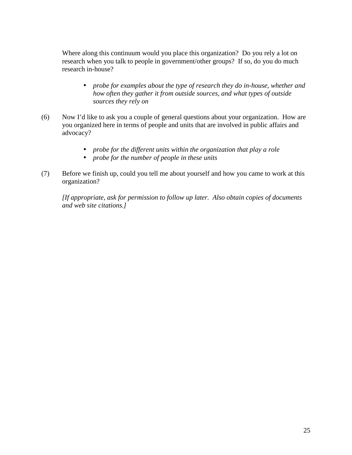Where along this continuum would you place this organization? Do you rely a lot on research when you talk to people in government/other groups? If so, do you do much research in-house?

- *probe for examples about the type of research they do in-house, whether and how often they gather it from outside sources, and what types of outside sources they rely on*
- (6) Now I'd like to ask you a couple of general questions about your organization. How are you organized here in terms of people and units that are involved in public affairs and advocacy?
	- *probe for the different units within the organization that play a role*
	- *probe for the number of people in these units*
- (7) Before we finish up, could you tell me about yourself and how you came to work at this organization?

*[If appropriate, ask for permission to follow up later. Also obtain copies of documents and web site citations.]*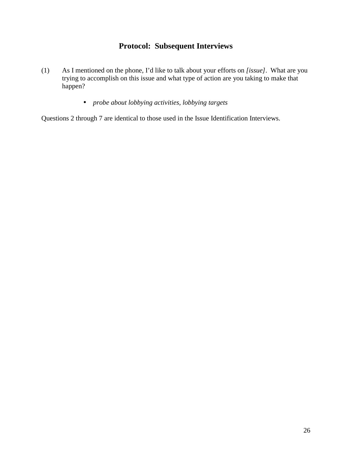# **Protocol: Subsequent Interviews**

- (1) As I mentioned on the phone, I'd like to talk about your efforts on *[issue]*. What are you trying to accomplish on this issue and what type of action are you taking to make that happen?
	- *probe about lobbying activities, lobbying targets*

Questions 2 through 7 are identical to those used in the Issue Identification Interviews.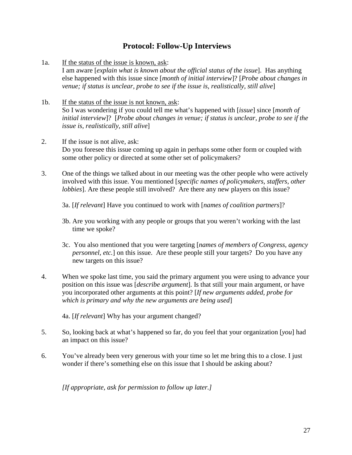# **Protocol: Follow-Up Interviews**

- 1a. If the status of the issue is known, ask: I am aware [*explain what is known about the official status of the issue*]. Has anything else happened with this issue since [*month of initial interview*]? [*Probe about changes in venue; if status is unclear, probe to see if the issue is, realistically, still alive*]
- 1b. If the status of the issue is not known, ask: So I was wondering if you could tell me what's happened with [*issue*] since [*month of initial interview*]? [*Probe about changes in venue; if status is unclear, probe to see if the issue is, realistically, still alive*]
- 2. If the issue is not alive, ask: Do you foresee this issue coming up again in perhaps some other form or coupled with some other policy or directed at some other set of policymakers?
- 3. One of the things we talked about in our meeting was the other people who were actively involved with this issue. You mentioned [*specific names of policymakers, staffers, other lobbies*]. Are these people still involved? Are there any new players on this issue?

3a. [*If relevant*] Have you continued to work with [*names of coalition partners*]?

- 3b. Are you working with any people or groups that you weren't working with the last time we spoke?
- 3c. You also mentioned that you were targeting [*names of members of Congress, agency personnel, etc.*] on this issue. Are these people still your targets? Do you have any new targets on this issue?
- 4. When we spoke last time, you said the primary argument you were using to advance your position on this issue was [*describe argument*]. Is that still your main argument, or have you incorporated other arguments at this point? [*If new arguments added, probe for which is primary and why the new arguments are being used*]

4a. [*If relevant*] Why has your argument changed?

- 5. So, looking back at what's happened so far, do you feel that your organization [*you*] had an impact on this issue?
- 6. You've already been very generous with your time so let me bring this to a close. I just wonder if there's something else on this issue that I should be asking about?

*[If appropriate, ask for permission to follow up later.]*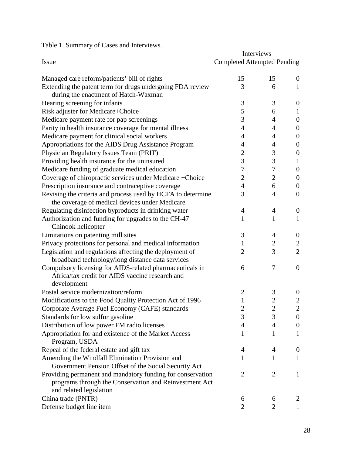Table 1. Summary of Cases and Interviews.

|                                                             | Interviews                         |                |                  |
|-------------------------------------------------------------|------------------------------------|----------------|------------------|
| <b>Issue</b>                                                | <b>Completed Attempted Pending</b> |                |                  |
| Managed care reform/patients' bill of rights                | 15                                 | 15             | $\overline{0}$   |
| Extending the patent term for drugs undergoing FDA review   | 3                                  | 6              | $\mathbf{1}$     |
| during the enactment of Hatch-Waxman                        |                                    |                |                  |
| Hearing screening for infants                               | 3                                  | 3              | $\theta$         |
| Risk adjuster for Medicare+Choice                           | 5                                  | 6              | 1                |
| Medicare payment rate for pap screenings                    | 3                                  | 4              | $\boldsymbol{0}$ |
| Parity in health insurance coverage for mental illness      | 4                                  | 4              | $\overline{0}$   |
| Medicare payment for clinical social workers                | 4                                  | 4              | $\boldsymbol{0}$ |
| Appropriations for the AIDS Drug Assistance Program         | 4                                  | 4              | $\theta$         |
| Physician Regulatory Issues Team (PRIT)                     | $\overline{c}$                     | 3              | $\boldsymbol{0}$ |
| Providing health insurance for the uninsured                | 3                                  | 3              | 1                |
| Medicare funding of graduate medical education              | 7                                  | 7              | $\boldsymbol{0}$ |
| Coverage of chiropractic services under Medicare +Choice    | $\overline{2}$                     | $\overline{2}$ | $\boldsymbol{0}$ |
| Prescription insurance and contraceptive coverage           | 4                                  | 6              | $\overline{0}$   |
| Revising the criteria and process used by HCFA to determine | 3                                  | $\overline{4}$ | $\boldsymbol{0}$ |
| the coverage of medical devices under Medicare              |                                    |                |                  |
| Regulating disinfection byproducts in drinking water        | 4                                  | 4              | $\boldsymbol{0}$ |
| Authorization and funding for upgrades to the CH-47         | 1                                  | 1              | $\mathbf{1}$     |
| Chinook helicopter                                          |                                    |                |                  |
| Limitations on patenting mill sites                         | 3                                  | 4              | $\theta$         |
| Privacy protections for personal and medical information    | 1                                  | $\mathbf{2}$   | $\overline{2}$   |
| Legislation and regulations affecting the deployment of     | 2                                  | 3              | $\overline{2}$   |
| broadband technology/long distance data services            |                                    |                |                  |
| Compulsory licensing for AIDS-related pharmaceuticals in    | 6                                  | 7              | $\overline{0}$   |
| Africa/tax credit for AIDS vaccine research and             |                                    |                |                  |
| development                                                 |                                    |                |                  |
| Postal service modernization/reform                         | $\overline{c}$                     | 3              | $\theta$         |
| Modifications to the Food Quality Protection Act of 1996    |                                    | $\overline{c}$ | $\overline{c}$   |
| Corporate Average Fuel Economy (CAFE) standards             | 2                                  | $\overline{c}$ | $\overline{2}$   |
| Standards for low sulfur gasoline                           | 3                                  | 3              | $\boldsymbol{0}$ |
| Distribution of low power FM radio licenses                 | 4                                  | 4              | $\boldsymbol{0}$ |
| Appropriation for and existence of the Market Access        | 1                                  | 1              | 1                |
| Program, USDA                                               |                                    |                |                  |
| Repeal of the federal estate and gift tax                   | 4                                  | 4              | $\boldsymbol{0}$ |
| Amending the Windfall Elimination Provision and             | 1                                  | 1              | $\mathbf{1}$     |
| Government Pension Offset of the Social Security Act        |                                    |                |                  |
| Providing permanent and mandatory funding for conservation  | $\overline{2}$                     | 2              | $\mathbf{1}$     |
| programs through the Conservation and Reinvestment Act      |                                    |                |                  |
| and related legislation                                     |                                    |                |                  |
| China trade (PNTR)                                          | 6                                  | 6              | 2                |
| Defense budget line item                                    | 2                                  | 2              | 1                |